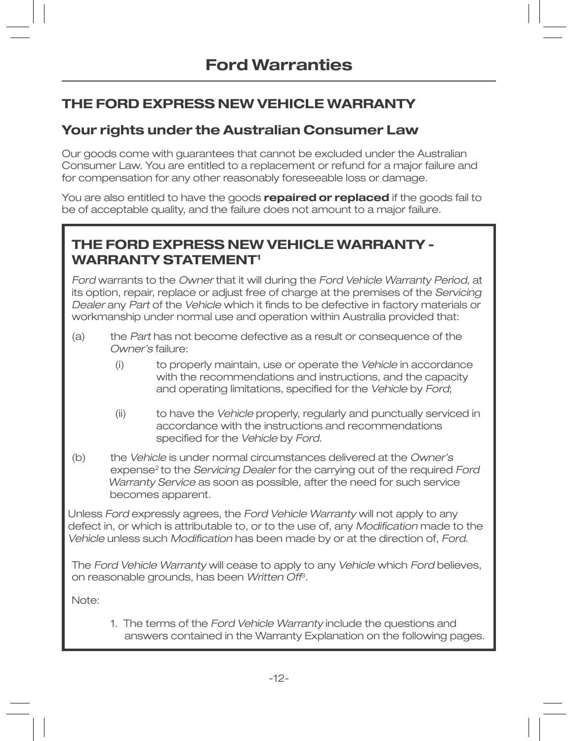# **THE FORD EXPRESS NEW VEHICLE WARRANTY**

### **Your rights under the Australian Consumer Law**

Our goods come with guarantees that cannot be excluded under the Australian Consumer Law. You are entitled to a replacement or refund for a major failure and for compensation for any other reasonably foreseeable loss or damage.

You are also entitled to have the goods **repaired or replaced** if the goods fail to be of acceptable quality, and the failure does not amount to a major failure.

## **THE FORD EXPRESS NEW VEHICLE WARRANTY - WARRANTY STATEMENT<sup>1</sup>**

Ford warrants to the Owner that it will during the Ford Vehicle Warranty Period, at its option, repair, replace or adjust free of charge at the premises of the Servicing Dealer any Part of the Vehicle which it finds to be defective in factory materials or workmanship under normal use and operation within Australia provided that:

- $(a)$  the Part has not become defective as a result or consequence of the Owner's failure:
	- $(i)$ ) to properly maintain, use or operate the Vehicle in accordance with the recommendations and instructions, and the capacity and operating limitations, specified for the Vehicle by Ford;
	- $(iii)$ İ to have the Vehicle properly, regularly and punctually serviced in accordance with the instructions and recommendations specified for the Vehicle by Ford.
- (b) the Vehicle is under normal circumstances delivered at the Owner's expense<sup>2</sup> to the Servicing Dealer for the carrying out of the required Ford Warranty Service as soon as possible, after the need for such service becomes apparent.

Unless Ford expressly agrees, the Ford Vehicle Warranty will not apply to any defect in, or which is attributable to, or to the use of, any Modification made to the Vehicle unless such Modification has been made by or at the direction of, Ford.

The Ford Vehicle Warranty will cease to apply to any Vehicle which Ford believes, on reasonable grounds, has been Written Off<sup>3</sup>.

Note:

 1. The terms of the Ford Vehicle Warranty include the questions and answers contained in the Warranty Explanation on the following pages.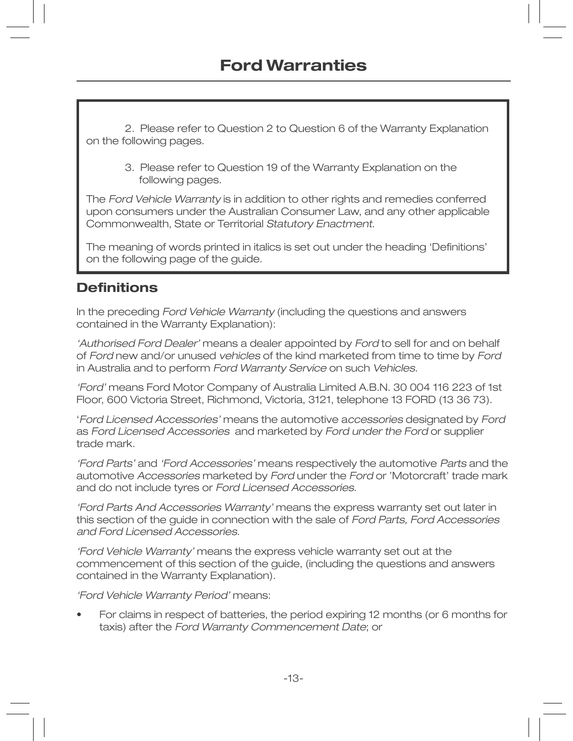2. Please refer to Question 2 to Question 6 of the Warranty Explanation on the following pages.

3. Please refer to Question 19 of the Warranty Explanation on the following pages.

The Ford Vehicle Warranty is in addition to other rights and remedies conferred upon consumers under the Australian Consumer Law, and any other applicable Commonwealth, State or Territorial Statutory Enactment.

The meaning of words printed in italics is set out under the heading 'Definitions' on the following page of the quide.

### **Definitions**

In the preceding Ford Vehicle Warranty (including the questions and answers contained in the Warranty Explanation):

'Authorised Ford Dealer' means a dealer appointed by Ford to sell for and on behalf of Ford new and/or unused vehicles of the kind marketed from time to time by Ford in Australia and to perform Ford Warranty Service on such Vehicles.

'Ford' means Ford Motor Company of Australia Limited A.B.N. 30 004 116 223 of 1st Floor, 600 Victoria Street, Richmond, Victoria, 3121, telephone 13 FORD (13 36 73).

'Ford Licensed Accessories' means the automotive accessories designated by Ford as Ford Licensed Accessories and marketed by Ford under the Ford or supplier trade mark.

'Ford Parts' and 'Ford Accessories' means respectively the automotive Parts and the automotive Accessories marketed by Ford under the Ford or 'Motorcraft' trade mark and do not include tyres or Ford Licensed Accessories.

'Ford Parts And Accessories Warranty' means the express warranty set out later in this section of the guide in connection with the sale of Ford Parts, Ford Accessories and Ford Licensed Accessories.

'Ford Vehicle Warranty' means the express vehicle warranty set out at the commencement of this section of the guide, (including the questions and answers contained in the Warranty Explanation).

'Ford Vehicle Warranty Period' means:

For claims in respect of batteries, the period expiring 12 months (or 6 months for taxis) after the Ford Warranty Commencement Date; or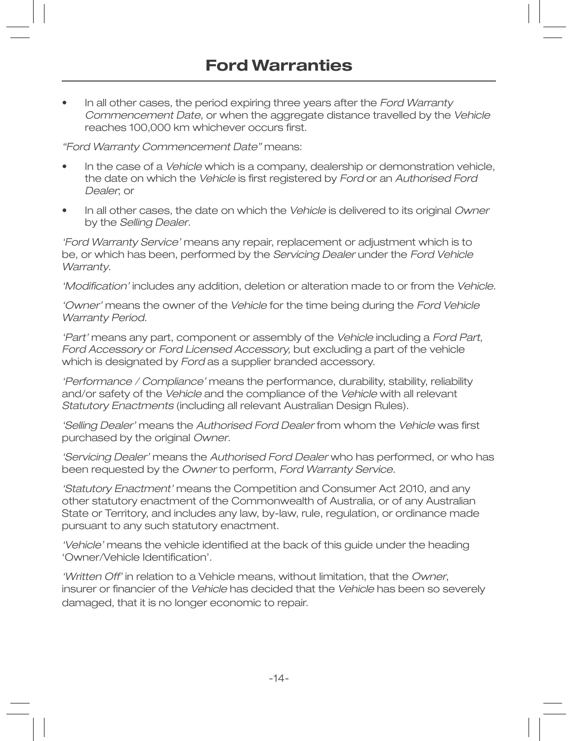In all other cases, the period expiring three years after the Ford Warranty Commencement Date, or when the aggregate distance travelled by the Vehicle reaches 100,000 km whichever occurs first.

"Ford Warranty Commencement Date" means:

- In the case of a Vehicle which is a company, dealership or demonstration vehicle, the date on which the Vehicle is first registered by Ford or an Authorised Ford Dealer; or
- In all other cases, the date on which the Vehicle is delivered to its original Owner by the Selling Dealer.

'Ford Warranty Service' means any repair, replacement or adjustment which is to be, or which has been, performed by the Servicing Dealer under the Ford Vehicle Warranty.

'Modification' includes any addition, deletion or alteration made to or from the Vehicle.

'Owner' means the owner of the Vehicle for the time being during the Ford Vehicle Warranty Period.

'Part' means any part, component or assembly of the Vehicle including a Ford Part, Ford Accessory or Ford Licensed Accessory, but excluding a part of the vehicle which is designated by Ford as a supplier branded accessory.

'Performance / Compliance' means the performance, durability, stability, reliability and/or safety of the Vehicle and the compliance of the Vehicle with all relevant Statutory Enactments (including all relevant Australian Design Rules).

'Selling Dealer' means the Authorised Ford Dealer from whom the Vehicle was first purchased by the original Owner.

'Servicing Dealer' means the Authorised Ford Dealer who has performed, or who has been requested by the Owner to perform, Ford Warranty Service.

'Statutory Enactment' means the Competition and Consumer Act 2010, and any other statutory enactment of the Commonwealth of Australia, or of any Australian State or Territory, and includes any law, by-law, rule, regulation, or ordinance made pursuant to any such statutory enactment.

'Vehicle' means the vehicle identified at the back of this guide under the heading 'Owner/Vehicle Identification'.

'Written Off' in relation to a Vehicle means, without limitation, that the Owner, İ nsurer or financier of the Vehicle has decided that the Vehicle has been so severely damaged, that it is no longer economic to repair.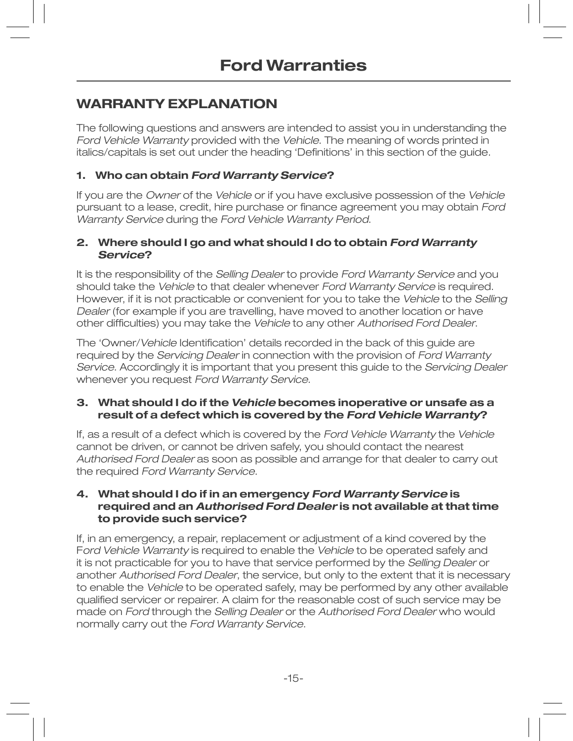## **WARRANTY EXPLANATION**

The following questions and answers are intended to assist you in understanding the Ford Vehicle Warranty provided with the Vehicle. The meaning of words printed in İ talics/capitals is set out under the heading 'Definitions' in this section of the guide.

### **1. Who can obtain Ford Warranty Service?**

If you are the Owner of the Vehicle or if you have exclusive possession of the Vehicle pursuant to a lease, credit, hire purchase or finance agreement you may obtain Ford Warranty Service during the Ford Vehicle Warranty Period.

#### **2. Where should I go and what should I do to obtain Ford Warranty Service?**

It is the responsibility of the Selling Dealer to provide Ford Warranty Service and you should take the Vehicle to that dealer whenever Ford Warranty Service is required. However, if it is not practicable or convenient for you to take the Vehicle to the Selling Dealer (for example if you are travelling, have moved to another location or have other difficulties) you may take the Vehicle to any other Authorised Ford Dealer.

The 'Owner/Vehicle Identification' details recorded in the back of this guide are required by the Servicing Dealer in connection with the provision of Ford Warranty Service. Accordingly it is important that you present this guide to the Servicing Dealer whenever you request Ford Warranty Service.

#### **3. What should I do if the Vehicle becomes inoperative or unsafe as a result of a defect which is covered by the Ford Vehicle Warranty?**

If, as a result of a defect which is covered by the Ford Vehicle Warranty the Vehicle cannot be driven, or cannot be driven safely, you should contact the nearest Authorised Ford Dealer as soon as possible and arrange for that dealer to carry out the required Ford Warranty Service.

#### **4. What should I do if in an emergency Ford Warranty Service is required and an Authorised Ford Dealer is not available at that time to provide such service?**

If, in an emergency, a repair, replacement or adjustment of a kind covered by the Ford Vehicle Warranty is required to enable the Vehicle to be operated safely and it is not practicable for you to have that service performed by the Selling Dealer or another Authorised Ford Dealer, the service, but only to the extent that it is necessary to enable the Vehicle to be operated safely, may be performed by any other available qualified servicer or repairer. A claim for the reasonable cost of such service may be made on Ford through the Selling Dealer or the Authorised Ford Dealer who would normally carry out the Ford Warranty Service.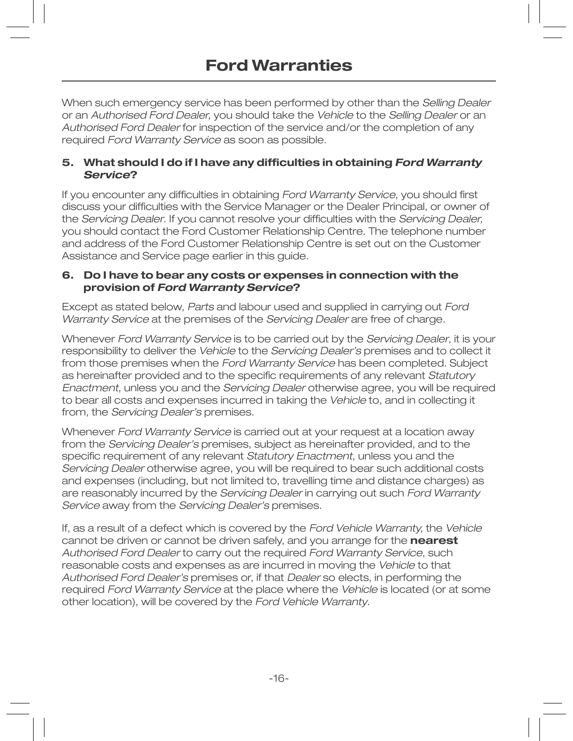When such emergency service has been performed by other than the Selling Dealer or an Authorised Ford Dealer, you should take the Vehicle to the Selling Dealer or an Authorised Ford Dealer for inspection of the service and/or the completion of any required Ford Warranty Service as soon as possible.

#### 5. What should I do if I have any difficulties in obtaining Ford Warranty **Service?**

If you encounter any difficulties in obtaining Ford Warranty Service, you should first discuss your difficulties with the Service Manager or the Dealer Principal, or owner of the Servicing Dealer. If you cannot resolve your difficulties with the Servicing Dealer, you should contact the Ford Customer Relationship Centre. The telephone number and address of the Ford Customer Relationship Centre is set out on the Customer Assistance and Service page earlier in this guide.

#### 6. Do I have to bear any costs or expenses in connection with the provision of Ford Warranty Service?

Except as stated below, Parts and labour used and supplied in carrying out Ford Warranty Service at the premises of the Servicing Dealer are free of charge.

Whenever Ford Warranty Service is to be carried out by the Servicing Dealer, it is your responsibility to deliver the Vehicle to the Servicing Dealer's premises and to collect it from those premises when the Ford Warranty Service has been completed. Subject as hereinafter provided and to the specific requirements of any relevant Statutory Enactment, unless you and the Servicing Dealer otherwise agree, you will be required to bear all costs and expenses incurred in taking the Vehicle to, and in collecting it from, the Servicing Dealer's premises.

Whenever Ford Warranty Service is carried out at your request at a location away from the Servicing Dealer's premises, subject as hereinafter provided, and to the specific requirement of any relevant Statutory Enactment, unless you and the Servicing Dealer otherwise agree, you will be required to bear such additional costs and expenses (including, but not limited to, travelling time and distance charges) as are reasonably incurred by the Servicing Dealer in carrying out such Ford Warranty Service away from the Servicing Dealer's premises.

If, as a result of a defect which is covered by the Ford Vehicle Warranty, the Vehicle cannot be driven or cannot be driven safely, and you arrange for the nearest Authorised Ford Dealer to carry out the required Ford Warranty Service, such reasonable costs and expenses as are incurred in moving the Vehicle to that Authorised Ford Dealer's premises or, if that Dealer so elects, in performing the required Ford Warranty Service at the place where the Vehicle is located (or at some other location), will be covered by the Ford Vehicle Warranty.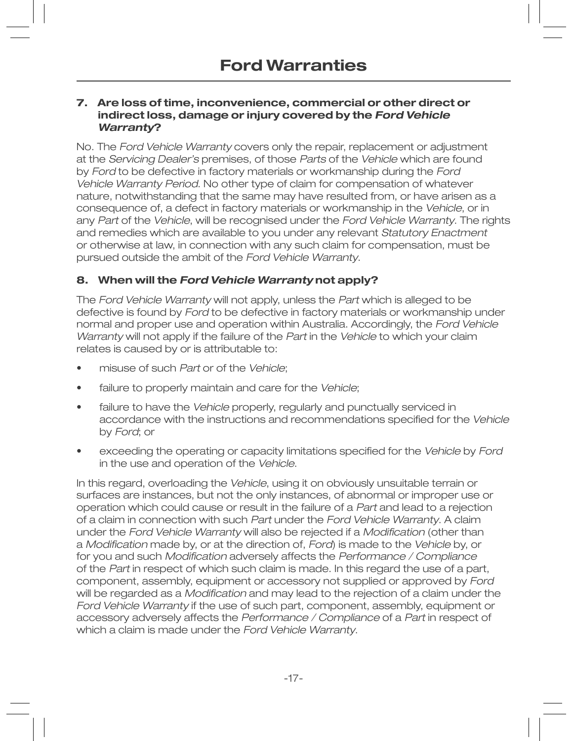#### **7. Are loss of time, inconvenience, commercial or other direct or indirect loss, damage or injury covered by the Ford Vehicle Warranty?**

No. The Ford Vehicle Warranty covers only the repair, replacement or adjustment at the Servicing Dealer's premises, of those Parts of the Vehicle which are found by Ford to be defective in factory materials or workmanship during the Ford Vehicle Warranty Period. No other type of claim for compensation of whatever nature, notwithstanding that the same may have resulted from, or have arisen as a consequence of, a defect in factory materials or workmanship in the Vehicle, or in any Part of the Vehicle, will be recognised under the Ford Vehicle Warranty. The rights and remedies which are available to you under any relevant Statutory Enactment or otherwise at law, in connection with any such claim for compensation, must be pursued outside the ambit of the Ford Vehicle Warranty.

### **8. When will the Ford Vehicle Warranty not apply?**

The Ford Vehicle Warranty will not apply, unless the Part which is alleged to be defective is found by Ford to be defective in factory materials or workmanship under normal and proper use and operation within Australia. Accordingly, the Ford Vehicle Warranty will not apply if the failure of the Part in the Vehicle to which your claim relates is caused by or is attributable to:

- misuse of such Part or of the Vehicle;
- failure to properly maintain and care for the Vehicle;
- failure to have the Vehicle properly, regularly and punctually serviced in accordance with the instructions and recommendations specified for the Vehicle by Ford; or
- exceeding the operating or capacity limitations specified for the Vehicle by Ford in the use and operation of the Vehicle.

In this regard, overloading the Vehicle, using it on obviously unsuitable terrain or surfaces are instances, but not the only instances, of abnormal or improper use or operation which could cause or result in the failure of a Part and lead to a rejection of a claim in connection with such Part under the Ford Vehicle Warranty. A claim under the Ford Vehicle Warranty will also be rejected if a Modification (other than a Modification made by, or at the direction of, Ford) is made to the Vehicle by, or for you and such *Modification* adversely affects the *Performance / Compliance* of the Part in respect of which such claim is made. In this regard the use of a part, component, assembly, equipment or accessory not supplied or approved by Ford will be regarded as a *Modification* and may lead to the rejection of a claim under the Ford Vehicle Warranty if the use of such part, component, assembly, equipment or accessory adversely affects the Performance / Compliance of a Part in respect of which a claim is made under the Ford Vehicle Warranty.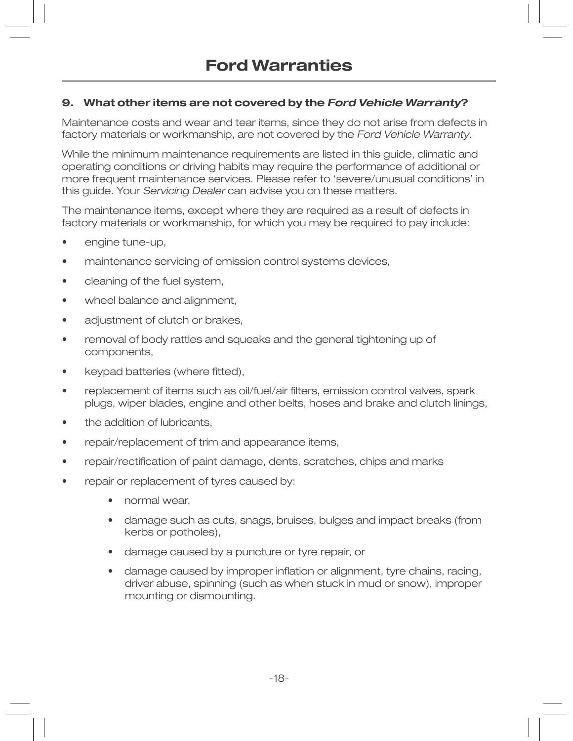### **9. What other items are not covered by the Ford Vehicle Warranty?**

Maintenance costs and wear and tear items, since they do not arise from defects in factory materials or workmanship, are not covered by the Ford Vehicle Warranty.

While the minimum maintenance requirements are listed in this guide, climatic and operating conditions or driving habits may require the performance of additional or more frequent maintenance services. Please refer to 'severe/unusual conditions' in this guide. Your Servicing Dealer can advise you on these matters.

The maintenance items, except where they are required as a result of defects in factory materials or workmanship, for which you may be required to pay include:

- engine tune-up,
- maintenance servicing of emission control systems devices,
- cleaning of the fuel system,
- wheel balance and alignment,
- adjustment of clutch or brakes,
- removal of body rattles and squeaks and the general tightening up of components,
- keypad batteries (where fitted),
- replacement of items such as oil/fuel/air filters, emission control valves, spark plugs, wiper blades, engine and other belts, hoses and brake and clutch linings,
- the addition of lubricants,
- repair/replacement of trim and appearance items,
- repair/rectification of paint damage, dents, scratches, chips and marks
- repair or replacement of tyres caused by:
	- normal wear,
- $\bullet$  damage such as cuts, snags, bruises, bulges and impact breaks (from kerbs or potholes),
	- damage caused by a puncture or tyre repair, or
- damage caused by improper inflation or alignment, tyre chains, racing, driver abuse, spinning (such as when stuck in mud or snow), improper mounting or dismounting.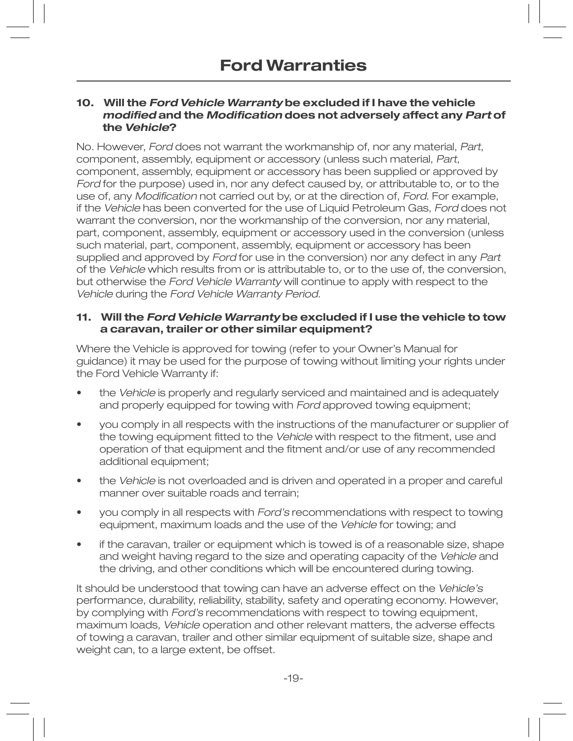#### **10. Will the Ford Vehicle Warranty be excluded if I have the vehicle**  *<u>Modified and the Modification does not adversely affect any Part of*</u>  **the Vehicle?**

No. However, Ford does not warrant the workmanship of, nor any material, Part, component, assembly, equipment or accessory (unless such material, Part, component, assembly, equipment or accessory has been supplied or approved by Ford for the purpose) used in, nor any defect caused by, or attributable to, or to the use of, any *Modification* not carried out by, or at the direction of, Ford. For example, if the Vehicle has been converted for the use of Liquid Petroleum Gas, Ford does not warrant the conversion, nor the workmanship of the conversion, nor any material, part, component, assembly, equipment or accessory used in the conversion (unless such material, part, component, assembly, equipment or accessory has been supplied and approved by Ford for use in the conversion) nor any defect in any Part of the Vehicle which results from or is attributable to, or to the use of, the conversion, but otherwise the *Ford Vehicle Warranty* will continue to apply with respect to the Vehicle during the Ford Vehicle Warranty Period.

#### **11. Will the Ford Vehicle Warranty be excluded if I use the vehicle to tow a caravan, trailer or other similar equipment?**

Where the Vehicle is approved for towing (refer to your Owner's Manual for guidance) it may be used for the purpose of towing without limiting your rights under the Ford Vehicle Warranty if:

- the Vehicle is properly and regularly serviced and maintained and is adequately and properly equipped for towing with Ford approved towing equipment;
- you comply in all respects with the instructions of the manufacturer or supplier of the towing equipment fitted to the Vehicle with respect to the fitment, use and operation of that equipment and the fitment and/or use of any recommended additional equipment;
- the Vehicle is not overloaded and is driven and operated in a proper and careful manner over suitable roads and terrain;
- you comply in all respects with *Ford's* recommendations with respect to towing equipment, maximum loads and the use of the Vehicle for towing; and
- if the caravan, trailer or equipment which is towed is of a reasonable size, shape and weight having regard to the size and operating capacity of the Vehicle and the driving, and other conditions which will be encountered during towing.

It should be understood that towing can have an adverse effect on the Vehicle's performance, durability, reliability, stability, safety and operating economy. However, by complying with Ford's recommendations with respect to towing equipment, maximum loads, Vehicle operation and other relevant matters, the adverse effects of towing a caravan, trailer and other similar equipment of suitable size, shape and weight can, to a large extent, be offset.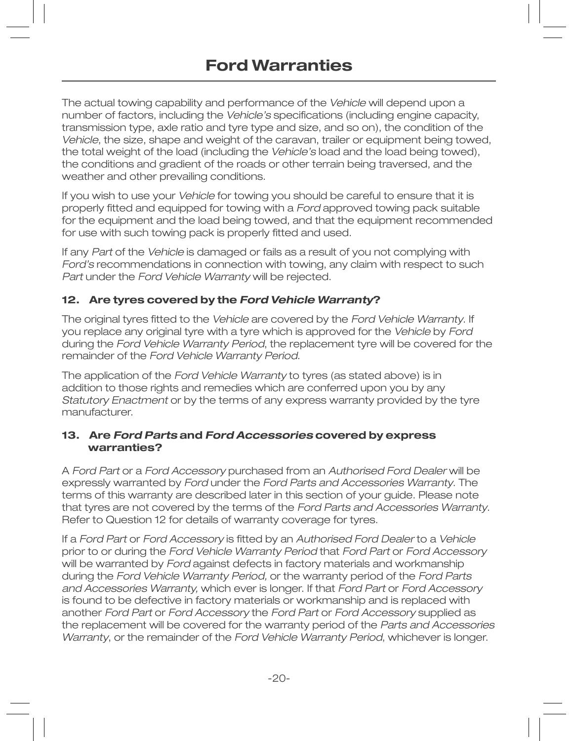The actual towing capability and performance of the Vehicle will depend upon a number of factors, including the Vehicle's specifications (including engine capacity, transmission type, axle ratio and tyre type and size, and so on), the condition of the Vehicle, the size, shape and weight of the caravan, trailer or equipment being towed, the total weight of the load (including the Vehicle's load and the load being towed), the conditions and gradient of the roads or other terrain being traversed, and the weather and other prevailing conditions.

If you wish to use your Vehicle for towing you should be careful to ensure that it is properly fitted and equipped for towing with a Ford approved towing pack suitable for the equipment and the load being towed, and that the equipment recommended for use with such towing pack is properly fitted and used.

If any Part of the Vehicle is damaged or fails as a result of you not complying with Ford's recommendations in connection with towing, any claim with respect to such Part under the Ford Vehicle Warranty will be rejected.

#### **12. Are tyres covered by the Ford Vehicle Warranty?**

The original tyres fitted to the Vehicle are covered by the Ford Vehicle Warranty. If you replace any original tyre with a tyre which is approved for the Vehicle by Ford during the Ford Vehicle Warranty Period, the replacement tyre will be covered for the remainder of the Ford Vehicle Warranty Period.

The application of the Ford Vehicle Warranty to tyres (as stated above) is in addition to those rights and remedies which are conferred upon you by any Statutory Enactment or by the terms of any express warranty provided by the tyre manufacturer.

#### **13. Are Ford Parts and Ford Accessories covered by express warranties?**

A Ford Part or a Ford Accessory purchased from an Authorised Ford Dealer will be expressly warranted by Ford under the Ford Parts and Accessories Warranty. The terms of this warranty are described later in this section of your guide. Please note that tyres are not covered by the terms of the Ford Parts and Accessories Warranty. Refer to Question 12 for details of warranty coverage for tyres.

If a Ford Part or Ford Accessory is fitted by an Authorised Ford Dealer to a Vehicle prior to or during the Ford Vehicle Warranty Period that Ford Part or Ford Accessory will be warranted by Ford against defects in factory materials and workmanship during the Ford Vehicle Warranty Period, or the warranty period of the Ford Parts and Accessories Warranty, which ever is longer. If that Ford Part or Ford Accessory is found to be defective in factory materials or workmanship and is replaced with another Ford Part or Ford Accessory the Ford Part or Ford Accessory supplied as the replacement will be covered for the warranty period of the Parts and Accessories Warranty, or the remainder of the Ford Vehicle Warranty Period, whichever is longer.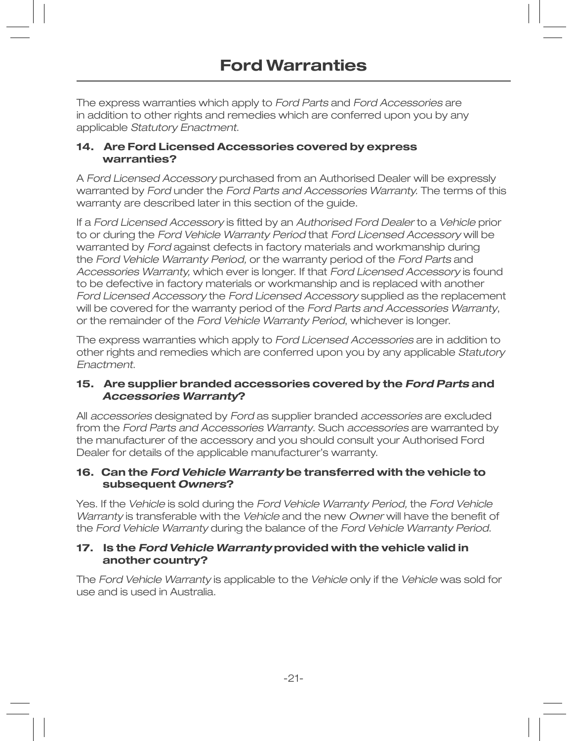The express warranties which apply to Ford Parts and Ford Accessories are in addition to other rights and remedies which are conferred upon you by any applicable Statutory Enactment.

#### **14. Are Ford Licensed Accessories covered by express warranties?**

A Ford Licensed Accessory purchased from an Authorised Dealer will be expressly warranted by Ford under the Ford Parts and Accessories Warranty. The terms of this warranty are described later in this section of the guide.

If a Ford Licensed Accessory is fitted by an Authorised Ford Dealer to a Vehicle prior to or during the Ford Vehicle Warranty Period that Ford Licensed Accessory will be warranted by Ford against defects in factory materials and workmanship during the Ford Vehicle Warranty Period, or the warranty period of the Ford Parts and Accessories Warranty, which ever is longer. If that Ford Licensed Accessory is found to be defective in factory materials or workmanship and is replaced with another Ford Licensed Accessory the Ford Licensed Accessory supplied as the replacement will be covered for the warranty period of the Ford Parts and Accessories Warranty, or the remainder of the Ford Vehicle Warranty Period, whichever is longer.

The express warranties which apply to Ford Licensed Accessories are in addition to other rights and remedies which are conferred upon you by any applicable Statutory Enactment.

#### **15. Are supplier branded accessories covered by the Ford Parts and Accessories Warranty?**

All accessories designated by Ford as supplier branded accessories are excluded from the Ford Parts and Accessories Warranty. Such accessories are warranted by the manufacturer of the accessory and you should consult your Authorised Ford Dealer for details of the applicable manufacturer's warranty.

#### **16. Can the Ford Vehicle Warranty be transferred with the vehicle to subsequent Owners?**

Yes. If the Vehicle is sold during the Ford Vehicle Warranty Period, the Ford Vehicle Warranty is transferable with the Vehicle and the new Owner will have the benefit of the Ford Vehicle Warranty during the balance of the Ford Vehicle Warranty Period.

#### **17. Is the Ford Vehicle Warranty provided with the vehicle valid in another country?**

The Ford Vehicle Warranty is applicable to the Vehicle only if the Vehicle was sold for use and is used in Australia.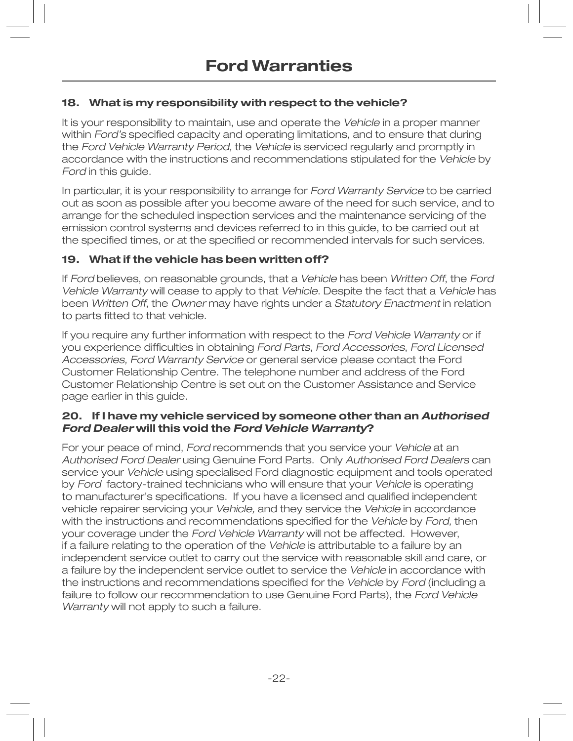### **18. What is my responsibility with respect to the vehicle?**

It is your responsibility to maintain, use and operate the Vehicle in a proper manner within Ford's specified capacity and operating limitations, and to ensure that during the Ford Vehicle Warranty Period, the Vehicle is serviced regularly and promptly in accordance with the instructions and recommendations stipulated for the Vehicle by Ford in this guide.

In particular, it is your responsibility to arrange for Ford Warranty Service to be carried out as soon as possible after you become aware of the need for such service, and to arrange for the scheduled inspection services and the maintenance servicing of the emission control systems and devices referred to in this guide, to be carried out at the specified times, or at the specified or recommended intervals for such services.

#### **19. What if the vehicle has been written off?**

If Ford believes, on reasonable grounds, that a Vehicle has been Written Off, the Ford Vehicle Warranty will cease to apply to that Vehicle. Despite the fact that a Vehicle has been Written Off, the Owner may have rights under a Statutory Enactment in relation to parts fitted to that vehicle.

If you require any further information with respect to the Ford Vehicle Warranty or if you experience difficulties in obtaining Ford Parts, Ford Accessories, Ford Licensed Accessories, Ford Warranty Service or general service please contact the Ford Customer Relationship Centre. The telephone number and address of the Ford Customer Relationship Centre is set out on the Customer Assistance and Service page earlier in this guide.

#### **20. If I have my vehicle serviced by someone other than an Authorised Ford Dealer will this void the Ford Vehicle Warranty?**

For your peace of mind, Ford recommends that you service your Vehicle at an Authorised Ford Dealer using Genuine Ford Parts. Only Authorised Ford Dealers can service your Vehicle using specialised Ford diagnostic equipment and tools operated by Ford factory-trained technicians who will ensure that your Vehicle is operating to manufacturer's specifications. If you have a licensed and qualified independent vehicle repairer servicing your Vehicle, and they service the Vehicle in accordance with the instructions and recommendations specified for the Vehicle by Ford, then your coverage under the Ford Vehicle Warranty will not be affected. However, if a failure relating to the operation of the Vehicle is attributable to a failure by an independent service outlet to carry out the service with reasonable skill and care, or a failure by the independent service outlet to service the Vehicle in accordance with the instructions and recommendations specified for the Vehicle by Ford (including a failure to follow our recommendation to use Genuine Ford Parts), the Ford Vehicle Warranty will not apply to such a failure.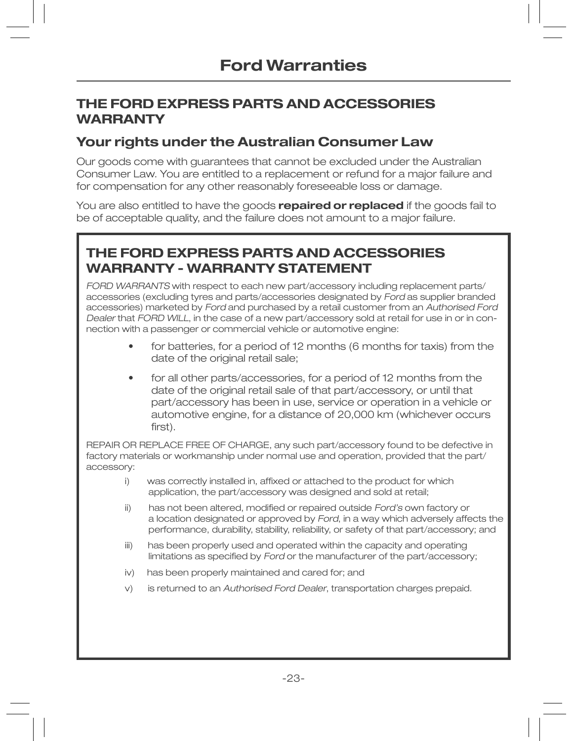### **THE FORD EXPRESS PARTS AND ACCESSORIES WARRANTY**

### **Your rights under the Australian Consumer Law**

Our goods come with guarantees that cannot be excluded under the Australian Consumer Law. You are entitled to a replacement or refund for a major failure and for compensation for any other reasonably foreseeable loss or damage.

You are also entitled to have the goods **repaired or replaced** if the goods fail to be of acceptable quality, and the failure does not amount to a major failure.

## **THE FORD EXPRESS PARTS AND ACCESSORIES WARRANTY - WARRANTY STATEMENT**

FORD WARRANTS with respect to each new part/accessory including replacement parts/ accessories (excluding tyres and parts/accessories designated by Ford as supplier branded accessories) marketed by Ford and purchased by a retail customer from an Authorised Ford Dealer that FORD WILL, in the case of a new part/accessory sold at retail for use in or in connection with a passenger or commercial vehicle or automotive engine:

- for batteries, for a period of 12 months (6 months for taxis) from the date of the original retail sale;
- for all other parts/accessories, for a period of 12 months from the date of the original retail sale of that part/accessory, or until that part/accessory has been in use, service or operation in a vehicle or automotive engine, for a distance of 20,000 km (whichever occurs first).

REPAIR OR REPLACE FREE OF CHARGE, any such part/accessory found to be defective in factory materials or workmanship under normal use and operation, provided that the part/ accessory:

- la serie de la ) was correctly installed in, affixed or attached to the product for which application, the part/accessory was designed and sold at retail;
- **Contract Contract** i ) has not been altered, modified or repaired outside Ford's own factory or a location designated or approved by Ford, in a way which adversely affects the performance, durability, stability, reliability, or safety of that part/accessory; and
- **Contract Contract** i i ) has been properly used and operated within the capacity and operating **Contract Contract District** mitations as specified by Ford or the manufacturer of the part/accessory;
- $\mathbf{r}$  and  $\mathbf{r}$  and  $\mathbf{r}$ v) has been properly maintained and cared for; and
	- $V)$ is returned to an Authorised Ford Dealer, transportation charges prepaid.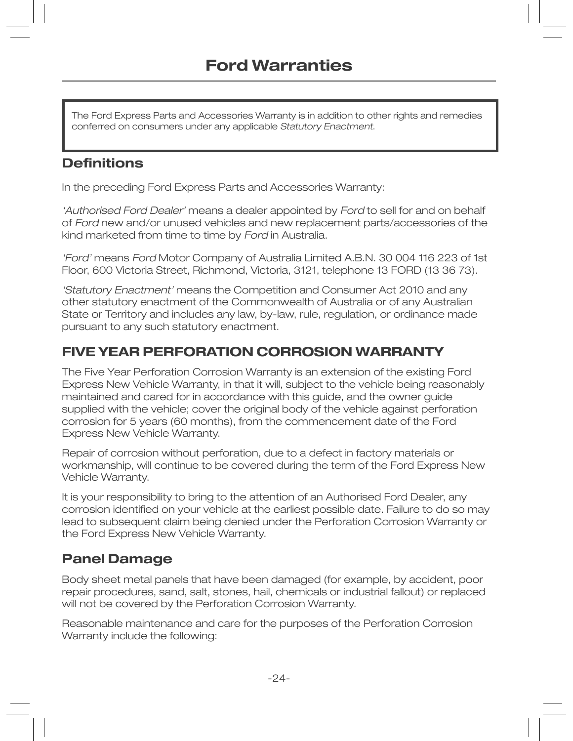The Ford Express Parts and Accessories Warranty is in addition to other rights and remedies conferred on consumers under any applicable Statutory Enactment.

### **Definitions**

In the preceding Ford Express Parts and Accessories Warranty:

'Authorised Ford Dealer' means a dealer appointed by Ford to sell for and on behalf of Ford new and/or unused vehicles and new replacement parts/accessories of the kind marketed from time to time by Ford in Australia.

'Ford' means Ford Motor Company of Australia Limited A.B.N. 30 004 116 223 of 1st Floor, 600 Victoria Street, Richmond, Victoria, 3121, telephone 13 FORD (13 36 73).

'Statutory Enactment' means the Competition and Consumer Act 2010 and any other statutory enactment of the Commonwealth of Australia or of any Australian State or Territory and includes any law, by-law, rule, regulation, or ordinance made pursuant to any such statutory enactment.

### **FIVE YEAR PERFORATION CORROSION WARRANTY**

The Five Year Perforation Corrosion Warranty is an extension of the existing Ford Express New Vehicle Warranty, in that it will, subject to the vehicle being reasonably maintained and cared for in accordance with this guide, and the owner guide supplied with the vehicle; cover the original body of the vehicle against perforation corrosion for 5 years (60 months), from the commencement date of the Ford Express New Vehicle Warranty.

Repair of corrosion without perforation, due to a defect in factory materials or workmanship, will continue to be covered during the term of the Ford Express New Vehicle Warranty.

It is your responsibility to bring to the attention of an Authorised Ford Dealer, any corrosion identified on your vehicle at the earliest possible date. Failure to do so may lead to subsequent claim being denied under the Perforation Corrosion Warranty or the Ford Express New Vehicle Warranty.

## **Panel Damage**

Body sheet metal panels that have been damaged (for example, by accident, poor repair procedures, sand, salt, stones, hail, chemicals or industrial fallout) or replaced will not be covered by the Perforation Corrosion Warranty.

Reasonable maintenance and care for the purposes of the Perforation Corrosion Warranty include the following: